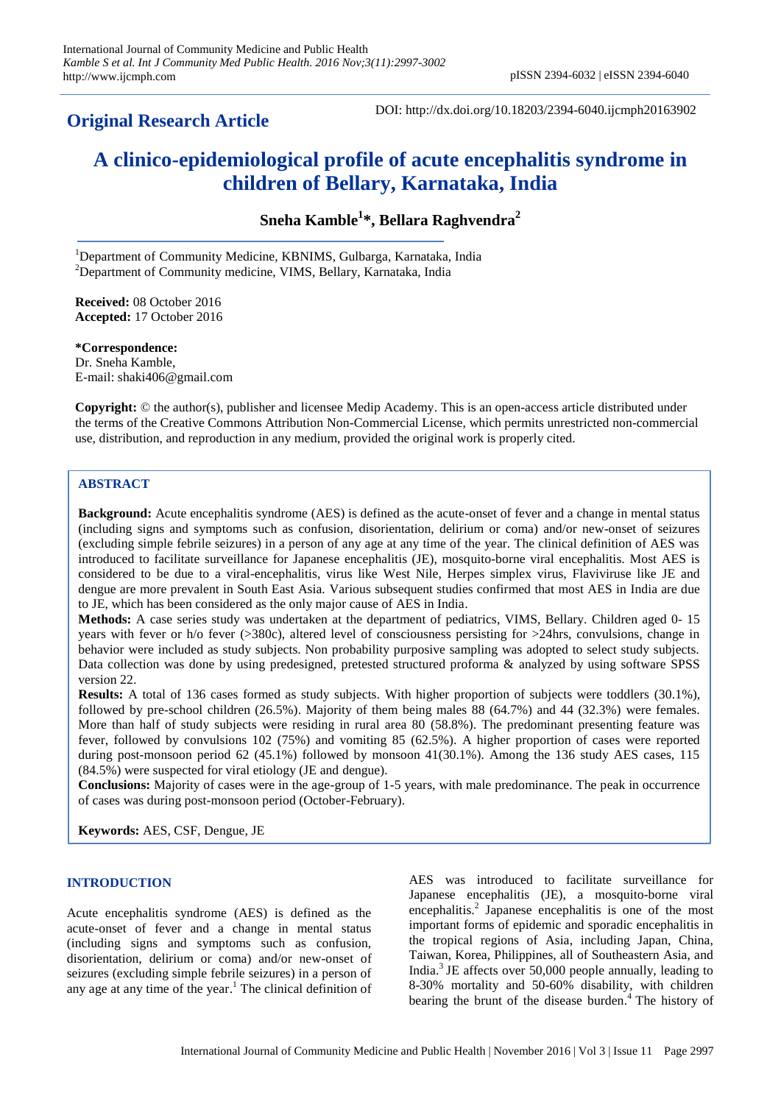# **Original Research Article**

DOI: http://dx.doi.org/10.18203/2394-6040.ijcmph20163902

# **A clinico-epidemiological profile of acute encephalitis syndrome in children of Bellary, Karnataka, India**

**Sneha Kamble<sup>1</sup> \*, Bellara Raghvendra<sup>2</sup>**

<sup>1</sup>Department of Community Medicine, KBNIMS, Gulbarga, Karnataka, India  $2$ Department of Community medicine, VIMS, Bellary, Karnataka, India

**Received:** 08 October 2016 **Accepted:** 17 October 2016

**\*Correspondence:** Dr. Sneha Kamble, E-mail: shaki406@gmail.com

**Copyright:** © the author(s), publisher and licensee Medip Academy. This is an open-access article distributed under the terms of the Creative Commons Attribution Non-Commercial License, which permits unrestricted non-commercial use, distribution, and reproduction in any medium, provided the original work is properly cited.

## **ABSTRACT**

**Background:** Acute encephalitis syndrome (AES) is defined as the acute-onset of fever and a change in mental status (including signs and symptoms such as confusion, disorientation, delirium or coma) and/or new-onset of seizures (excluding simple febrile seizures) in a person of any age at any time of the year. The clinical definition of AES was introduced to facilitate surveillance for Japanese encephalitis (JE), mosquito-borne viral encephalitis. Most AES is considered to be due to a viral-encephalitis, virus like West Nile, Herpes simplex virus, Flaviviruse like JE and dengue are more prevalent in South East Asia. Various subsequent studies confirmed that most AES in India are due to JE, which has been considered as the only major cause of AES in India.

**Methods:** A case series study was undertaken at the department of pediatrics, VIMS, Bellary. Children aged 0- 15 years with fever or h/o fever (>380c), altered level of consciousness persisting for >24hrs, convulsions, change in behavior were included as study subjects. Non probability purposive sampling was adopted to select study subjects. Data collection was done by using predesigned, pretested structured proforma & analyzed by using software SPSS version 22.

**Results:** A total of 136 cases formed as study subjects. With higher proportion of subjects were toddlers (30.1%), followed by pre-school children (26.5%). Majority of them being males 88 (64.7%) and 44 (32.3%) were females. More than half of study subjects were residing in rural area 80 (58.8%). The predominant presenting feature was fever, followed by convulsions 102 (75%) and vomiting 85 (62.5%). A higher proportion of cases were reported during post-monsoon period 62 (45.1%) followed by monsoon 41(30.1%). Among the 136 study AES cases, 115 (84.5%) were suspected for viral etiology (JE and dengue).

**Conclusions:** Majority of cases were in the age-group of 1-5 years, with male predominance. The peak in occurrence of cases was during post-monsoon period (October-February).

**Keywords:** AES, CSF, Dengue, JE

## **INTRODUCTION**

Acute encephalitis syndrome (AES) is defined as the acute-onset of fever and a change in mental status (including signs and symptoms such as confusion, disorientation, delirium or coma) and/or new-onset of seizures (excluding simple febrile seizures) in a person of any age at any time of the year. <sup>1</sup> The clinical definition of AES was introduced to facilitate surveillance for Japanese encephalitis (JE), a mosquito-borne viral encephalitis. 2 Japanese encephalitis is one of the most important forms of epidemic and sporadic encephalitis in the tropical regions of Asia, including Japan, China, Taiwan, Korea, Philippines, all of Southeastern Asia, and India. <sup>3</sup>JE affects over 50,000 people annually, leading to 8-30% mortality and 50-60% disability, with children bearing the brunt of the disease burden. <sup>4</sup> The history of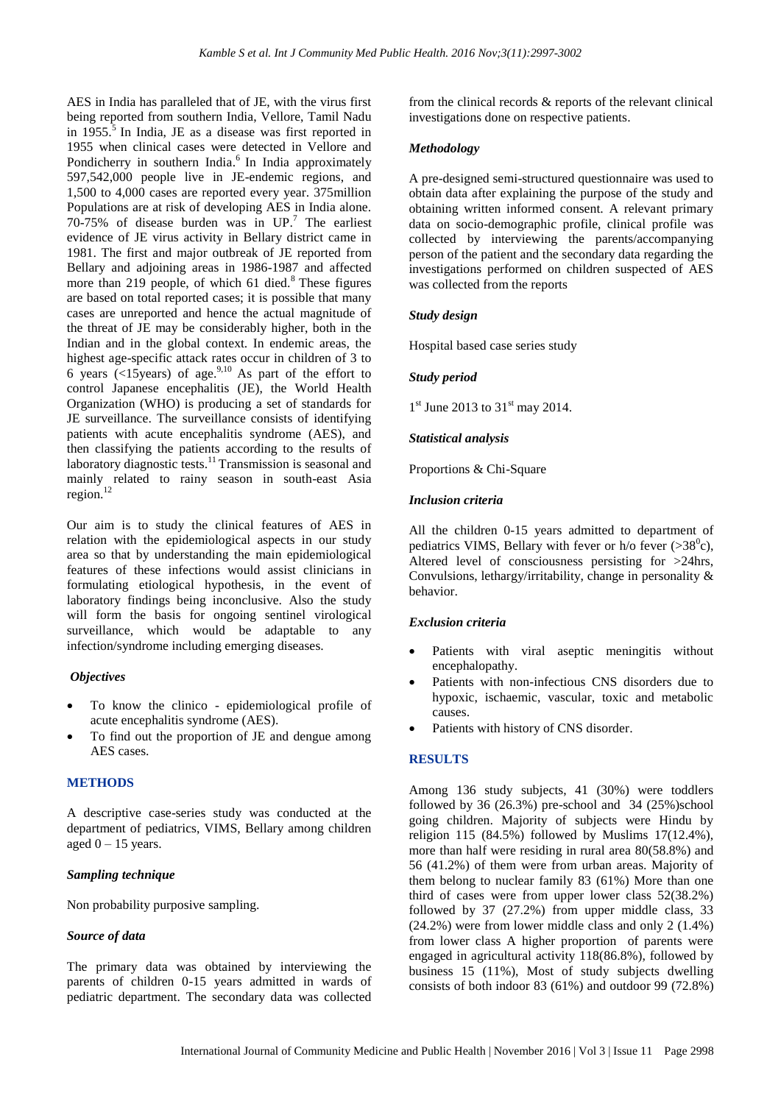AES in India has paralleled that of JE, with the virus first being reported from southern India, Vellore, Tamil Nadu in  $1955$ .<sup>5</sup> In India, JE as a disease was first reported in 1955 when clinical cases were detected in Vellore and Pondicherry in southern India.<sup>6</sup> In India approximately 597,542,000 people live in JE-endemic regions, and 1,500 to 4,000 cases are reported every year. 375million Populations are at risk of developing AES in India alone. 70-75% of disease burden was in UP. <sup>7</sup> The earliest evidence of JE virus activity in Bellary district came in 1981. The first and major outbreak of JE reported from Bellary and adjoining areas in 1986-1987 and affected more than 219 people, of which  $61$  died.<sup>8</sup> These figures are based on total reported cases; it is possible that many cases are unreported and hence the actual magnitude of the threat of JE may be considerably higher, both in the Indian and in the global context. In endemic areas, the highest age-specific attack rates occur in children of 3 to 6 years (<15years) of age.<sup>9,10</sup> As part of the effort to control Japanese encephalitis (JE), the World Health Organization (WHO) is producing a set of standards for JE surveillance. The surveillance consists of identifying patients with acute encephalitis syndrome (AES), and then classifying the patients according to the results of laboratory diagnostic tests.<sup>11</sup> Transmission is seasonal and mainly related to rainy season in south-east Asia region. 12

Our aim is to study the clinical features of AES in relation with the epidemiological aspects in our study area so that by understanding the main epidemiological features of these infections would assist clinicians in formulating etiological hypothesis, in the event of laboratory findings being inconclusive. Also the study will form the basis for ongoing sentinel virological surveillance, which would be adaptable to any infection/syndrome including emerging diseases.

#### *Objectives*

- To know the clinico epidemiological profile of acute encephalitis syndrome (AES).
- To find out the proportion of JE and dengue among AES cases.

# **METHODS**

A descriptive case-series study was conducted at the department of pediatrics, VIMS, Bellary among children aged  $0 - 15$  years.

#### *Sampling technique*

Non probability purposive sampling.

#### *Source of data*

The primary data was obtained by interviewing the parents of children 0-15 years admitted in wards of pediatric department. The secondary data was collected from the clinical records & reports of the relevant clinical investigations done on respective patients.

#### *Methodology*

A pre-designed semi-structured questionnaire was used to obtain data after explaining the purpose of the study and obtaining written informed consent. A relevant primary data on socio-demographic profile, clinical profile was collected by interviewing the parents/accompanying person of the patient and the secondary data regarding the investigations performed on children suspected of AES was collected from the reports

#### *Study design*

Hospital based case series study

#### *Study period*

1<sup>st</sup> June 2013 to 31<sup>st</sup> may 2014.

#### *Statistical analysis*

Proportions & Chi-Square

#### *Inclusion criteria*

All the children 0-15 years admitted to department of pediatrics VIMS, Bellary with fever or h/o fever  $(>38^\circ c)$ , Altered level of consciousness persisting for >24hrs, Convulsions, lethargy/irritability, change in personality & behavior.

#### *Exclusion criteria*

- Patients with viral aseptic meningitis without encephalopathy.
- Patients with non-infectious CNS disorders due to hypoxic, ischaemic, vascular, toxic and metabolic causes.
- Patients with history of CNS disorder.

#### **RESULTS**

Among 136 study subjects, 41 (30%) were toddlers followed by  $36$   $(26.3%)$  pre-school and  $34$   $(25%)$ school going children. Majority of subjects were Hindu by religion 115 (84.5%) followed by Muslims 17(12.4%), more than half were residing in rural area 80(58.8%) and 56 (41.2%) of them were from urban areas. Majority of them belong to nuclear family 83 (61%) More than one third of cases were from upper lower class 52(38.2%) followed by 37 (27.2%) from upper middle class, 33 (24.2%) were from lower middle class and only 2 (1.4%) from lower class A higher proportion of parents were engaged in agricultural activity 118(86.8%), followed by business 15 (11%), Most of study subjects dwelling consists of both indoor 83 (61%) and outdoor 99 (72.8%)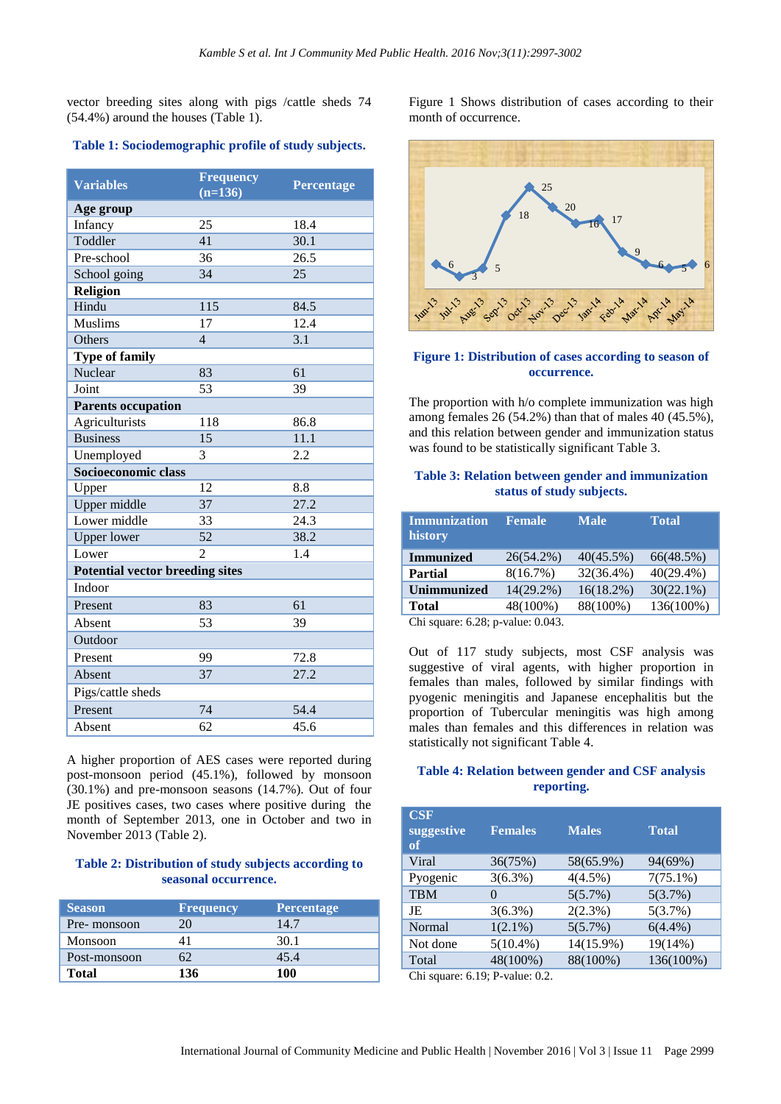vector breeding sites along with pigs /cattle sheds 74 (54.4%) around the houses (Table 1).

#### **Table 1: Sociodemographic profile of study subjects.**

| <b>Variables</b>                       | <b>Frequency</b><br>$(n=136)$ | <b>Percentage</b> |  |  |
|----------------------------------------|-------------------------------|-------------------|--|--|
| Age group                              |                               |                   |  |  |
| Infancy                                | $\overline{25}$               | 18.4              |  |  |
| Toddler                                | 41                            | 30.1              |  |  |
| Pre-school                             | 36                            | 26.5              |  |  |
| School going                           | 34                            | 25                |  |  |
| Religion                               |                               |                   |  |  |
| Hindu                                  | 115                           | 84.5              |  |  |
| <b>Muslims</b>                         | 17                            | 12.4              |  |  |
| Others                                 | $\overline{4}$                | 3.1               |  |  |
| <b>Type of family</b>                  |                               |                   |  |  |
| Nuclear                                | 83                            | 61                |  |  |
| Joint                                  | 53                            | 39                |  |  |
| <b>Parents occupation</b>              |                               |                   |  |  |
| Agriculturists                         | 118                           | 86.8              |  |  |
| <b>Business</b>                        | 15                            | 11.1              |  |  |
| Unemployed                             | 3                             | 2.2               |  |  |
| Socioeconomic class                    |                               |                   |  |  |
| Upper                                  | 12                            | 8.8               |  |  |
| Upper middle                           | 37                            | 27.2              |  |  |
| Lower middle                           | 33                            | 24.3              |  |  |
| <b>Upper lower</b>                     | $\overline{52}$               | 38.2              |  |  |
| Lower                                  | 2                             | 1.4               |  |  |
| <b>Potential vector breeding sites</b> |                               |                   |  |  |
| Indoor                                 |                               |                   |  |  |
| Present                                | 83                            | 61                |  |  |
| Absent                                 | 53                            | 39                |  |  |
| Outdoor                                |                               |                   |  |  |
| Present                                | 99                            | 72.8              |  |  |
| Absent                                 | 37                            | 27.2              |  |  |
| Pigs/cattle sheds                      |                               |                   |  |  |
| Present                                | 74                            | 54.4              |  |  |
| Absent                                 | 62                            | 45.6              |  |  |

A higher proportion of AES cases were reported during post-monsoon period (45.1%), followed by monsoon (30.1%) and pre-monsoon seasons (14.7%). Out of four JE positives cases, two cases where positive during the month of September 2013, one in October and two in November 2013 (Table 2).

#### **Table 2: Distribution of study subjects according to seasonal occurrence.**

| <b>Season</b> | <b>Frequency</b> | <b>Percentage</b> |
|---------------|------------------|-------------------|
| Pre-monsoon   | 20               | 14.7              |
| Monsoon       |                  | 30.1              |
| Post-monsoon  |                  | 45.4              |
| <b>Total</b>  | 136              | 100               |

Figure 1 Shows distribution of cases according to their month of occurrence.



# **Figure 1: Distribution of cases according to season of occurrence.**

The proportion with h/o complete immunization was high among females 26 (54.2%) than that of males 40 (45.5%), and this relation between gender and immunization status was found to be statistically significant Table 3.

#### **Table 3: Relation between gender and immunization status of study subjects.**

| <b>Immunization</b><br>history | <b>Female</b> | <b>Male</b>  | <b>Total</b> |
|--------------------------------|---------------|--------------|--------------|
| <b>Immunized</b>               | 26(54.2%)     | $40(45.5\%)$ | 66(48.5%)    |
| <b>Partial</b>                 | 8(16.7%)      | 32(36.4%)    | $40(29.4\%)$ |
| <b>Unimmunized</b>             | 14(29.2%)     | $16(18.2\%)$ | $30(22.1\%)$ |
| <b>Total</b>                   | 48(100%)      | 88(100%)     | 136(100%)    |
| $\sim$<br>$\sim$ 0.0           | $\sim$ 0.010  |              |              |

Chi square: 6.28; p-value: 0.043.

Out of 117 study subjects, most CSF analysis was suggestive of viral agents, with higher proportion in females than males, followed by similar findings with pyogenic meningitis and Japanese encephalitis but the proportion of Tubercular meningitis was high among males than females and this differences in relation was statistically not significant Table 4.

#### **Table 4: Relation between gender and CSF analysis reporting.**

| $\bf CSF$<br>suggestive<br>of | <b>Females</b> | <b>Males</b> | <b>Total</b> |
|-------------------------------|----------------|--------------|--------------|
| Viral                         | 36(75%)        | 58(65.9%)    | 94(69%)      |
| Pyogenic                      | $3(6.3\%)$     | $4(4.5\%)$   | $7(75.1\%)$  |
| <b>TBM</b>                    | $\Omega$       | 5(5.7%)      | 5(3.7%)      |
| JE                            | $3(6.3\%)$     | 2(2.3%)      | 5(3.7%)      |
| Normal                        | $1(2.1\%)$     | 5(5.7%)      | $6(4.4\%)$   |
| Not done                      | $5(10.4\%)$    | 14(15.9%)    | 19(14%)      |
| Total                         | 48(100%)       | 88(100%)     | 136(100%)    |

Chi square: 6.19; P-value: 0.2.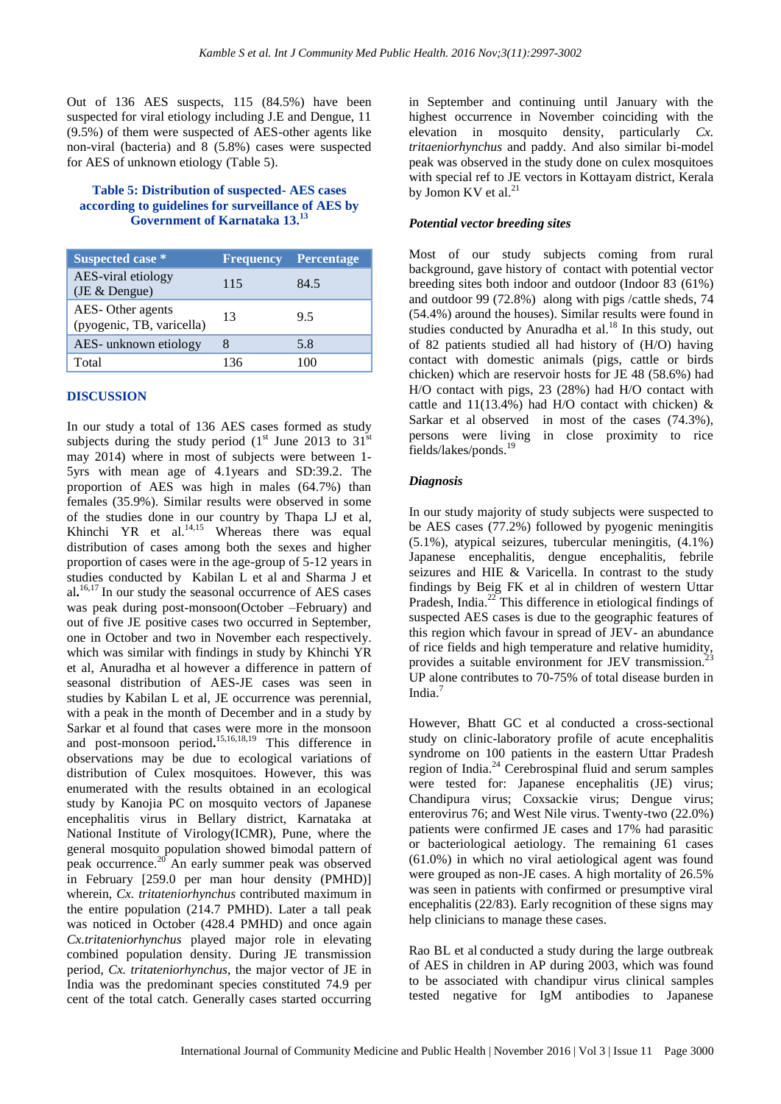Out of 136 AES suspects, 115 (84.5%) have been suspected for viral etiology including J.E and Dengue, 11 (9.5%) of them were suspected of AES-other agents like non-viral (bacteria) and 8 (5.8%) cases were suspected for AES of unknown etiology (Table 5).

#### **Table 5: Distribution of suspected- AES cases according to guidelines for surveillance of AES by Government of Karnataka 13. 13**

| Suspected case *                              | <b>Frequency</b> | <b>Percentage</b> |
|-----------------------------------------------|------------------|-------------------|
| AES-viral etiology<br>(JE & Dengue)           | 115              | 84.5              |
| AES-Other agents<br>(pyogenic, TB, varicella) | 13               | 9.5               |
| AES- unknown etiology                         | 8                | 5.8               |
| Total                                         | 136              | 100               |

#### **DISCUSSION**

In our study a total of 136 AES cases formed as study subjects during the study period  $(1<sup>st</sup>$  June 2013 to 31<sup>st</sup> may 2014) where in most of subjects were between 1- 5yrs with mean age of 4.1years and SD:39.2. The proportion of AES was high in males (64.7%) than females (35.9%). Similar results were observed in some of the studies done in our country by Thapa LJ et al, Khinchi YR et al. $^{14,15}$  Whereas there was equal distribution of cases among both the sexes and higher proportion of cases were in the age-group of 5-12 years in studies conducted by Kabilan L et al and Sharma J et al**.** 16,17 In our study the seasonal occurrence of AES cases was peak during post-monsoon(October –February) and out of five JE positive cases two occurred in September, one in October and two in November each respectively. which was similar with findings in study by Khinchi YR et al, Anuradha et al however a difference in pattern of seasonal distribution of AES-JE cases was seen in studies by Kabilan L et al, JE occurrence was perennial, with a peak in the month of December and in a study by Sarkar et al found that cases were more in the monsoon and post-monsoon period**.** 15,16,18,19 This difference in observations may be due to ecological variations of distribution of Culex mosquitoes. However, this was enumerated with the results obtained in an ecological study by Kanojia PC on mosquito vectors of Japanese encephalitis virus in Bellary district, Karnataka at National Institute of Virology(ICMR), Pune, where the general mosquito population showed bimodal pattern of peak occurrence.<sup>20</sup> An early summer peak was observed in February [259.0 per man hour density (PMHD)] wherein, *Cx. tritateniorhynchus* contributed maximum in the entire population (214.7 PMHD). Later a tall peak was noticed in October (428.4 PMHD) and once again *Cx.tritateniorhynchus* played major role in elevating combined population density. During JE transmission period, *Cx. tritateniorhynchus*, the major vector of JE in India was the predominant species constituted 74.9 per cent of the total catch. Generally cases started occurring in September and continuing until January with the highest occurrence in November coinciding with the elevation in mosquito density, particularly *Cx. tritaeniorhynchus* and paddy. And also similar bi-model peak was observed in the study done on culex mosquitoes with special ref to JE vectors in Kottayam district, Kerala by Jomon KV et al.<sup>21</sup>

#### *Potential vector breeding sites*

Most of our study subjects coming from rural background, gave history of contact with potential vector breeding sites both indoor and outdoor (Indoor 83 (61%) and outdoor 99 (72.8%) along with pigs /cattle sheds, 74 (54.4%) around the houses). Similar results were found in studies conducted by Anuradha et al.<sup>18</sup> In this study, out of 82 patients studied all had history of (H/O) having contact with domestic animals (pigs, cattle or birds chicken) which are reservoir hosts for JE 48 (58.6%) had H/O contact with pigs, 23 (28%) had H/O contact with cattle and  $11(13.4\%)$  had H/O contact with chicken) & Sarkar et al observed in most of the cases  $(74.3\%)$ , persons were living in close proximity to rice fields/lakes/ponds. 19

#### *Diagnosis*

In our study majority of study subjects were suspected to be AES cases (77.2%) followed by pyogenic meningitis (5.1%), atypical seizures, tubercular meningitis, (4.1%) Japanese encephalitis, dengue encephalitis, febrile seizures and HIE & Varicella. In contrast to the study findings by Beig FK et al in children of western Uttar Pradesh, India.<sup>22</sup> This difference in etiological findings of suspected AES cases is due to the geographic features of this region which favour in spread of JEV- an abundance of rice fields and high temperature and relative humidity, provides a suitable environment for JEV transmission. UP alone contributes to 70-75% of total disease burden in India. 7

However, Bhatt GC et al conducted a cross-sectional study on clinic-laboratory profile of acute encephalitis syndrome on 100 patients in the eastern Uttar Pradesh region of India.<sup>24</sup> Cerebrospinal fluid and serum samples were tested for: Japanese encephalitis (JE) virus; Chandipura virus; Coxsackie virus; Dengue virus; enterovirus 76; and West Nile virus. Twenty-two (22.0%) patients were confirmed JE cases and 17% had parasitic or bacteriological aetiology. The remaining 61 cases (61.0%) in which no viral aetiological agent was found were grouped as non-JE cases. A high mortality of 26.5% was seen in patients with confirmed or presumptive viral encephalitis (22/83). Early recognition of these signs may help clinicians to manage these cases.

Rao BL et al conducted a study during the large outbreak of AES in children in AP during 2003, which was found to be associated with chandipur virus clinical samples tested negative for IgM antibodies to Japanese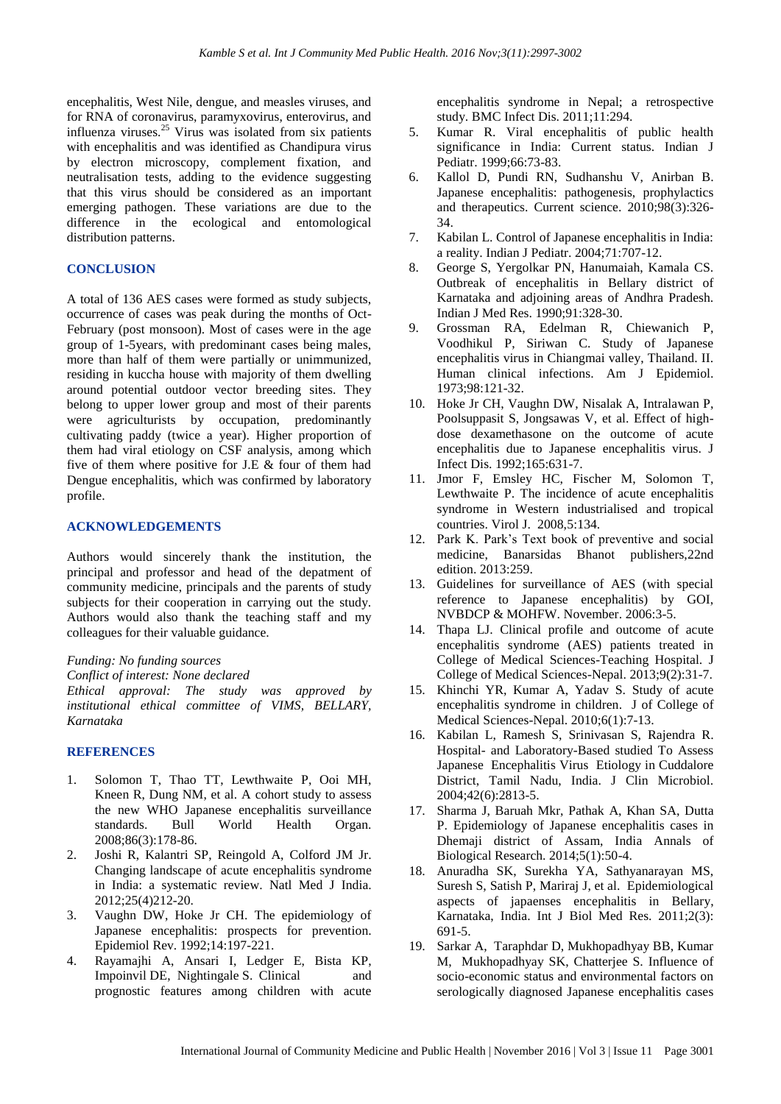encephalitis, West Nile, dengue, and measles viruses, and for RNA of coronavirus, paramyxovirus, enterovirus, and influenza viruses.<sup>25</sup> Virus was isolated from six patients with encephalitis and was identified as Chandipura virus by electron microscopy, complement fixation, and neutralisation tests, adding to the evidence suggesting that this virus should be considered as an important emerging pathogen. These variations are due to the difference in the ecological and entomological distribution patterns.

#### **CONCLUSION**

A total of 136 AES cases were formed as study subjects, occurrence of cases was peak during the months of Oct-February (post monsoon). Most of cases were in the age group of 1-5years, with predominant cases being males, more than half of them were partially or unimmunized, residing in kuccha house with majority of them dwelling around potential outdoor vector breeding sites. They belong to upper lower group and most of their parents were agriculturists by occupation, predominantly cultivating paddy (twice a year). Higher proportion of them had viral etiology on CSF analysis, among which five of them where positive for J.E & four of them had Dengue encephalitis, which was confirmed by laboratory profile.

#### **ACKNOWLEDGEMENTS**

Authors would sincerely thank the institution, the principal and professor and head of the depatment of community medicine, principals and the parents of study subjects for their cooperation in carrying out the study. Authors would also thank the teaching staff and my colleagues for their valuable guidance.

*Funding: No funding sources*

*Conflict of interest: None declared*

*Ethical approval: The study was approved by institutional ethical committee of VIMS, BELLARY, Karnataka*

#### **REFERENCES**

- 1. Solomon T, Thao TT, Lewthwaite P, Ooi MH, Kneen R, Dung NM, et al. A cohort study to assess the new WHO Japanese encephalitis surveillance standards. Bull World Health Organ. 2008;86(3):178-86.
- 2. Joshi R, Kalantri SP, Reingold A, Colford JM Jr. Changing landscape of acute encephalitis syndrome in India: a systematic review. Natl Med J India. 2012;25(4)212-20.
- 3. Vaughn DW, Hoke Jr CH. The epidemiology of Japanese encephalitis: prospects for prevention. Epidemiol Rev. 1992;14:197-221.
- 4. Rayamajhi A, Ansari I, Ledger E, Bista KP, Impoinvil DE, [Nightingale S.](https://www.ncbi.nlm.nih.gov/pubmed/?term=Nightingale%20S%5BAuthor%5D&cauthor=true&cauthor_uid=22035278) Clinical and prognostic features among children with acute

encephalitis syndrome in Nepal; a retrospective study. BMC Infect Dis. 2011;11:294.

- 5. Kumar R. Viral encephalitis of public health significance in India: Current status. Indian J Pediatr. 1999;66:73-83.
- 6. Kallol D, Pundi RN, Sudhanshu V, Anirban B. Japanese encephalitis: pathogenesis, prophylactics and therapeutics. Current science. 2010;98(3):326- 34.
- 7. Kabilan L. Control of Japanese encephalitis in India: a reality. Indian J Pediatr. 2004;71:707-12.
- 8. George S, Yergolkar PN, Hanumaiah, Kamala CS. Outbreak of encephalitis in Bellary district of Karnataka and adjoining areas of Andhra Pradesh. Indian J Med Res. 1990;91:328-30.
- 9. Grossman RA, Edelman R, Chiewanich P, Voodhikul P, Siriwan C. Study of Japanese encephalitis virus in Chiangmai valley, Thailand. II. Human clinical infections. Am J Epidemiol. 1973;98:121-32.
- 10. Hoke Jr CH, Vaughn DW, Nisalak A, Intralawan P, Poolsuppasit S, Jongsawas V, et al. Effect of highdose dexamethasone on the outcome of acute encephalitis due to Japanese encephalitis virus. J Infect Dis. 1992;165:631-7.
- 11. Jmor F, Emsley HC, Fischer M, Solomon T, Lewthwaite P. The incidence of acute encephalitis syndrome in Western industrialised and tropical countries. Virol J. 2008,5:134.
- 12. Park K. Park's Text book of preventive and social medicine, Banarsidas Bhanot publishers,22nd edition. 2013:259.
- 13. Guidelines for surveillance of AES (with special reference to Japanese encephalitis) by GOI, NVBDCP & MOHFW. November. 2006:3-5.
- 14. Thapa LJ. Clinical profile and outcome of acute encephalitis syndrome (AES) patients treated in College of Medical Sciences-Teaching Hospital. J College of Medical Sciences-Nepal. 2013;9(2):31-7.
- 15. Khinchi YR, Kumar A, Yadav S. Study of acute encephalitis syndrome in children. J of College of Medical Sciences-Nepal. 2010;6(1):7-13.
- 16. Kabilan L, Ramesh S, Srinivasan S, Rajendra R. Hospital- and Laboratory-Based studied To Assess Japanese Encephalitis Virus Etiology in Cuddalore District, Tamil Nadu, India. J Clin Microbiol. 2004;42(6):2813-5.
- 17. Sharma J, Baruah Mkr, Pathak A, Khan SA, Dutta P. Epidemiology of Japanese encephalitis cases in Dhemaji district of Assam, India Annals of Biological Research. 2014;5(1):50-4.
- 18. Anuradha SK, Surekha YA, Sathyanarayan MS, Suresh S, Satish P, Mariraj J, et al. Epidemiological aspects of japaenses encephalitis in Bellary, Karnataka, India. Int J Biol Med Res. 2011;2(3): 691-5.
- 19. Sarkar A, Taraphdar D, Mukhopadhyay BB, Kumar M, Mukhopadhyay SK, Chatterjee S. Influence of socio-economic status and environmental factors on serologically diagnosed Japanese encephalitis cases